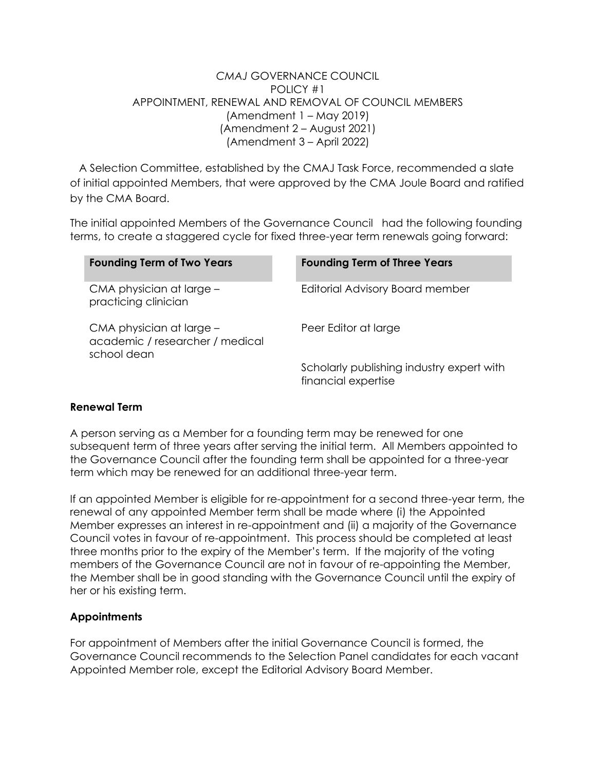## *CMAJ* GOVERNANCE COUNCIL POLICY #1 APPOINTMENT, RENEWAL AND REMOVAL OF COUNCIL MEMBERS (Amendment 1 – May 2019) (Amendment 2 – August 2021) (Amendment 3 – April 2022)

A Selection Committee, established by the CMAJ Task Force, recommended a slate of initial appointed Members, that were approved by the CMA Joule Board and ratified by the CMA Board.

The initial appointed Members of the Governance Council had the following founding terms, to create a staggered cycle for fixed three-year term renewals going forward:

| <b>Founding Term of Two Years</b>                                          | <b>Founding Term of Three Years</b>                              |
|----------------------------------------------------------------------------|------------------------------------------------------------------|
| CMA physician at large -<br>practicing clinician                           | Editorial Advisory Board member                                  |
| CMA physician at large -<br>academic / researcher / medical<br>school dean | Peer Editor at large                                             |
|                                                                            | Scholarly publishing industry expert with<br>financial expertise |

### **Renewal Term**

A person serving as a Member for a founding term may be renewed for one subsequent term of three years after serving the initial term. All Members appointed to the Governance Council after the founding term shall be appointed for a three-year term which may be renewed for an additional three-year term.

If an appointed Member is eligible for re-appointment for a second three-year term, the renewal of any appointed Member term shall be made where (i) the Appointed Member expresses an interest in re-appointment and (ii) a majority of the Governance Council votes in favour of re-appointment. This process should be completed at least three months prior to the expiry of the Member's term. If the majority of the voting members of the Governance Council are not in favour of re-appointing the Member, the Member shall be in good standing with the Governance Council until the expiry of her or his existing term.

# **Appointments**

For appointment of Members after the initial Governance Council is formed, the Governance Council recommends to the Selection Panel candidates for each vacant Appointed Member role, except the Editorial Advisory Board Member.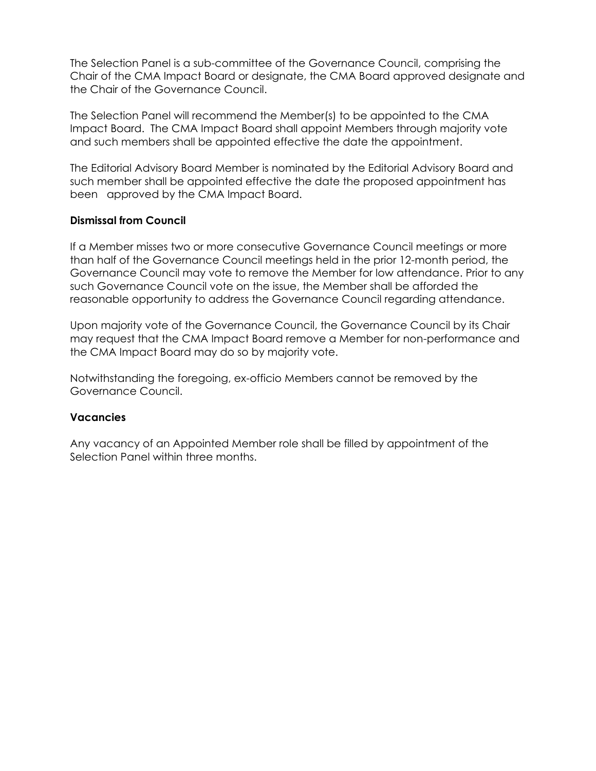The Selection Panel is a sub-committee of the Governance Council, comprising the Chair of the CMA Impact Board or designate, the CMA Board approved designate and the Chair of the Governance Council.

The Selection Panel will recommend the Member(s) to be appointed to the CMA Impact Board. The CMA Impact Board shall appoint Members through majority vote and such members shall be appointed effective the date the appointment.

The Editorial Advisory Board Member is nominated by the Editorial Advisory Board and such member shall be appointed effective the date the proposed appointment has been approved by the CMA Impact Board.

### **Dismissal from Council**

If a Member misses two or more consecutive Governance Council meetings or more than half of the Governance Council meetings held in the prior 12-month period, the Governance Council may vote to remove the Member for low attendance. Prior to any such Governance Council vote on the issue, the Member shall be afforded the reasonable opportunity to address the Governance Council regarding attendance.

Upon majority vote of the Governance Council, the Governance Council by its Chair may request that the CMA Impact Board remove a Member for non-performance and the CMA Impact Board may do so by majority vote.

Notwithstanding the foregoing, ex-officio Members cannot be removed by the Governance Council.

### **Vacancies**

Any vacancy of an Appointed Member role shall be filled by appointment of the Selection Panel within three months.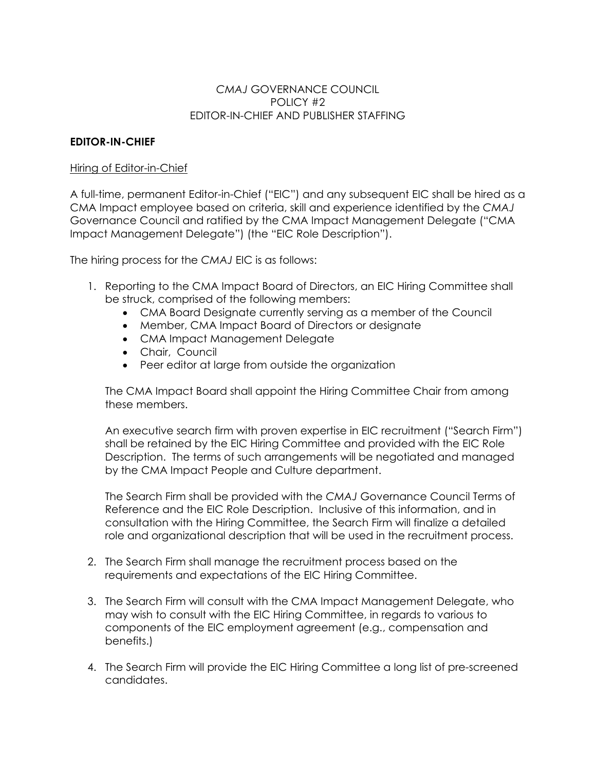### *CMAJ* GOVERNANCE COUNCIL POLICY #2 EDITOR-IN-CHIEF AND PUBLISHER STAFFING

## **EDITOR-IN-CHIEF**

#### Hiring of Editor-in-Chief

A full-time, permanent Editor-in-Chief ("EIC") and any subsequent EIC shall be hired as a CMA Impact employee based on criteria, skill and experience identified by the *CMAJ*  Governance Council and ratified by the CMA Impact Management Delegate ("CMA Impact Management Delegate") (the "EIC Role Description").

The hiring process for the *CMAJ* EIC is as follows:

- 1. Reporting to the CMA Impact Board of Directors, an EIC Hiring Committee shall be struck, comprised of the following members:
	- CMA Board Designate currently serving as a member of the Council
	- Member, CMA Impact Board of Directors or designate
	- CMA Impact Management Delegate
	- Chair, Council
	- Peer editor at large from outside the organization

The CMA Impact Board shall appoint the Hiring Committee Chair from among these members.

An executive search firm with proven expertise in EIC recruitment ("Search Firm") shall be retained by the EIC Hiring Committee and provided with the EIC Role Description. The terms of such arrangements will be negotiated and managed by the CMA Impact People and Culture department.

The Search Firm shall be provided with the *CMAJ* Governance Council Terms of Reference and the EIC Role Description. Inclusive of this information, and in consultation with the Hiring Committee, the Search Firm will finalize a detailed role and organizational description that will be used in the recruitment process.

- 2. The Search Firm shall manage the recruitment process based on the requirements and expectations of the EIC Hiring Committee.
- 3. The Search Firm will consult with the CMA Impact Management Delegate, who may wish to consult with the EIC Hiring Committee, in regards to various to components of the EIC employment agreement (e.g., compensation and benefits.)
- 4. The Search Firm will provide the EIC Hiring Committee a long list of pre-screened candidates.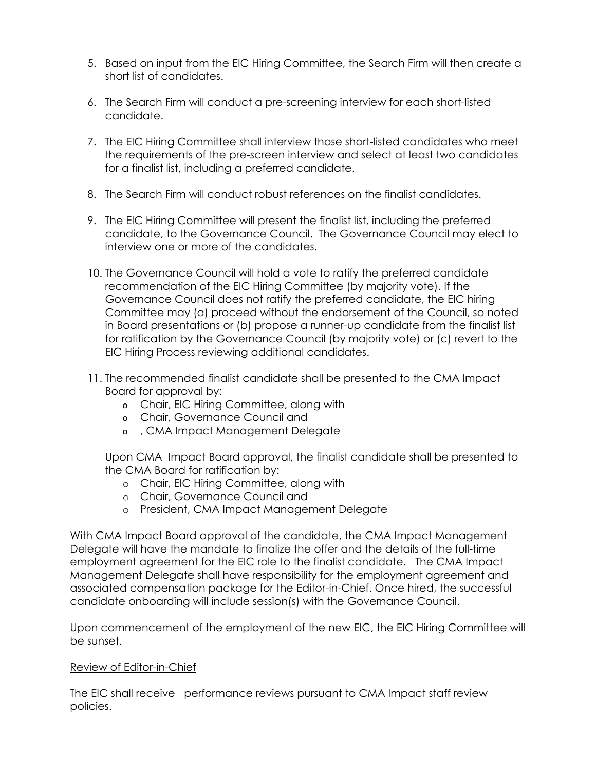- 5. Based on input from the EIC Hiring Committee, the Search Firm will then create a short list of candidates.
- 6. The Search Firm will conduct a pre-screening interview for each short-listed candidate.
- 7. The EIC Hiring Committee shall interview those short-listed candidates who meet the requirements of the pre-screen interview and select at least two candidates for a finalist list, including a preferred candidate.
- 8. The Search Firm will conduct robust references on the finalist candidates.
- 9. The EIC Hiring Committee will present the finalist list, including the preferred candidate, to the Governance Council. The Governance Council may elect to interview one or more of the candidates.
- 10. The Governance Council will hold a vote to ratify the preferred candidate recommendation of the EIC Hiring Committee (by majority vote). If the Governance Council does not ratify the preferred candidate, the EIC hiring Committee may (a) proceed without the endorsement of the Council, so noted in Board presentations or (b) propose a runner-up candidate from the finalist list for ratification by the Governance Council (by majority vote) or (c) revert to the EIC Hiring Process reviewing additional candidates.
- 11. The recommended finalist candidate shall be presented to the CMA Impact Board for approval by:
	- o Chair, EIC Hiring Committee, along with
	- o Chair, Governance Council and
	- o , CMA Impact Management Delegate

Upon CMA Impact Board approval, the finalist candidate shall be presented to the CMA Board for ratification by:

- o Chair, EIC Hiring Committee, along with
- o Chair, Governance Council and
- o President, CMA Impact Management Delegate

With CMA Impact Board approval of the candidate, the CMA Impact Management Delegate will have the mandate to finalize the offer and the details of the full-time employment agreement for the EIC role to the finalist candidate. The CMA Impact Management Delegate shall have responsibility for the employment agreement and associated compensation package for the Editor-in-Chief. Once hired, the successful candidate onboarding will include session(s) with the Governance Council.

Upon commencement of the employment of the new EIC, the EIC Hiring Committee will be sunset.

### Review of Editor-in-Chief

The EIC shall receive performance reviews pursuant to CMA Impact staff review policies.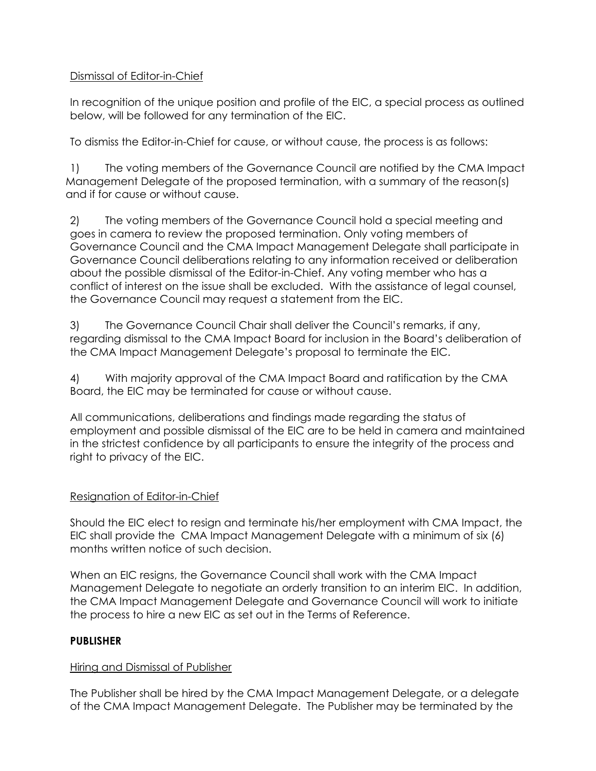# Dismissal of Editor-in-Chief

In recognition of the unique position and profile of the EIC, a special process as outlined below, will be followed for any termination of the EIC.

To dismiss the Editor-in-Chief for cause, or without cause, the process is as follows:

1) The voting members of the Governance Council are notified by the CMA Impact Management Delegate of the proposed termination, with a summary of the reason(s) and if for cause or without cause.

2) The voting members of the Governance Council hold a special meeting and goes in camera to review the proposed termination. Only voting members of Governance Council and the CMA Impact Management Delegate shall participate in Governance Council deliberations relating to any information received or deliberation about the possible dismissal of the Editor-in-Chief. Any voting member who has a conflict of interest on the issue shall be excluded. With the assistance of legal counsel, the Governance Council may request a statement from the EIC.

3) The Governance Council Chair shall deliver the Council's remarks, if any, regarding dismissal to the CMA Impact Board for inclusion in the Board's deliberation of the CMA Impact Management Delegate's proposal to terminate the EIC.

4) With majority approval of the CMA Impact Board and ratification by the CMA Board, the EIC may be terminated for cause or without cause.

All communications, deliberations and findings made regarding the status of employment and possible dismissal of the EIC are to be held in camera and maintained in the strictest confidence by all participants to ensure the integrity of the process and right to privacy of the EIC.

# Resignation of Editor-in-Chief

Should the EIC elect to resign and terminate his/her employment with CMA Impact, the EIC shall provide the CMA Impact Management Delegate with a minimum of six (6) months written notice of such decision.

When an EIC resigns, the Governance Council shall work with the CMA Impact Management Delegate to negotiate an orderly transition to an interim EIC. In addition, the CMA Impact Management Delegate and Governance Council will work to initiate the process to hire a new EIC as set out in the Terms of Reference.

# **PUBLISHER**

### Hiring and Dismissal of Publisher

The Publisher shall be hired by the CMA Impact Management Delegate, or a delegate of the CMA Impact Management Delegate. The Publisher may be terminated by the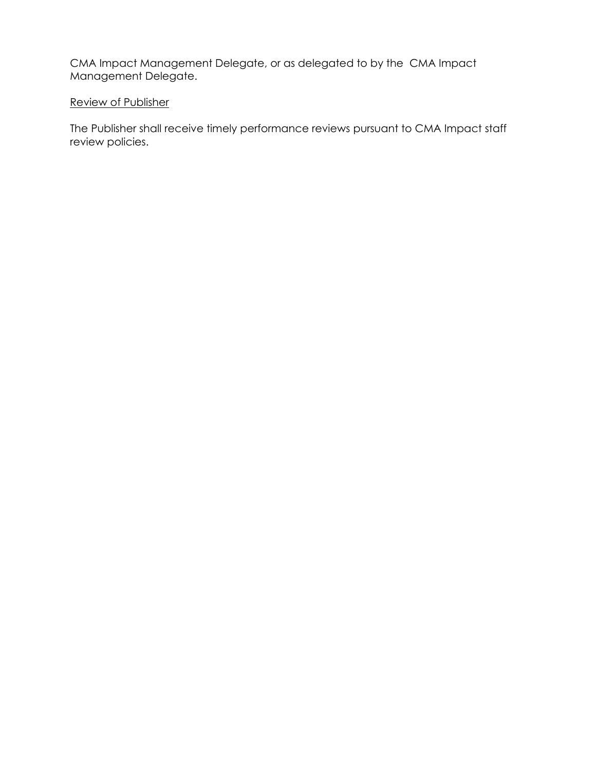CMA Impact Management Delegate, or as delegated to by the CMA Impact Management Delegate.

## Review of Publisher

The Publisher shall receive timely performance reviews pursuant to CMA Impact staff review policies.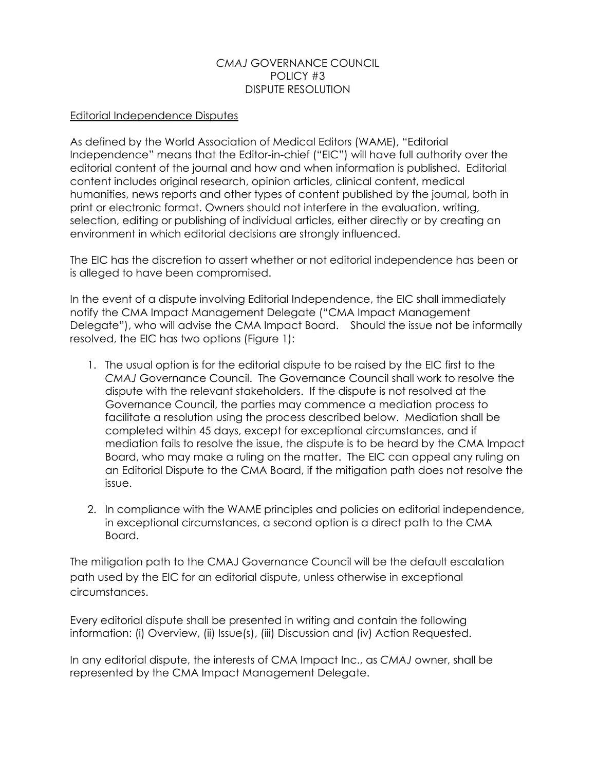## *CMAJ* GOVERNANCE COUNCIL POLICY #3 DISPUTE RESOLUTION

## Editorial Independence Disputes

As defined by the World Association of Medical Editors (WAME), "Editorial Independence" means that the Editor-in-chief ("EIC") will have full authority over the editorial content of the journal and how and when information is published. Editorial content includes original research, opinion articles, clinical content, medical humanities, news reports and other types of content published by the journal, both in print or electronic format. Owners should not interfere in the evaluation, writing, selection, editing or publishing of individual articles, either directly or by creating an environment in which editorial decisions are strongly influenced.

The EIC has the discretion to assert whether or not editorial independence has been or is alleged to have been compromised.

In the event of a dispute involving Editorial Independence, the EIC shall immediately notify the CMA Impact Management Delegate ("CMA Impact Management Delegate"), who will advise the CMA Impact Board. Should the issue not be informally resolved, the EIC has two options (Figure 1):

- 1. The usual option is for the editorial dispute to be raised by the EIC first to the *CMAJ* Governance Council. The Governance Council shall work to resolve the dispute with the relevant stakeholders. If the dispute is not resolved at the Governance Council, the parties may commence a mediation process to facilitate a resolution using the process described below. Mediation shall be completed within 45 days, except for exceptional circumstances, and if mediation fails to resolve the issue, the dispute is to be heard by the CMA Impact Board, who may make a ruling on the matter. The EIC can appeal any ruling on an Editorial Dispute to the CMA Board, if the mitigation path does not resolve the issue.
- 2. In compliance with the WAME principles and policies on editorial independence, in exceptional circumstances, a second option is a direct path to the CMA Board.

The mitigation path to the CMAJ Governance Council will be the default escalation path used by the EIC for an editorial dispute, unless otherwise in exceptional circumstances.

Every editorial dispute shall be presented in writing and contain the following information: (i) Overview, (ii) Issue(s), (iii) Discussion and (iv) Action Requested.

In any editorial dispute, the interests of CMA Impact Inc., as *CMAJ* owner, shall be represented by the CMA Impact Management Delegate.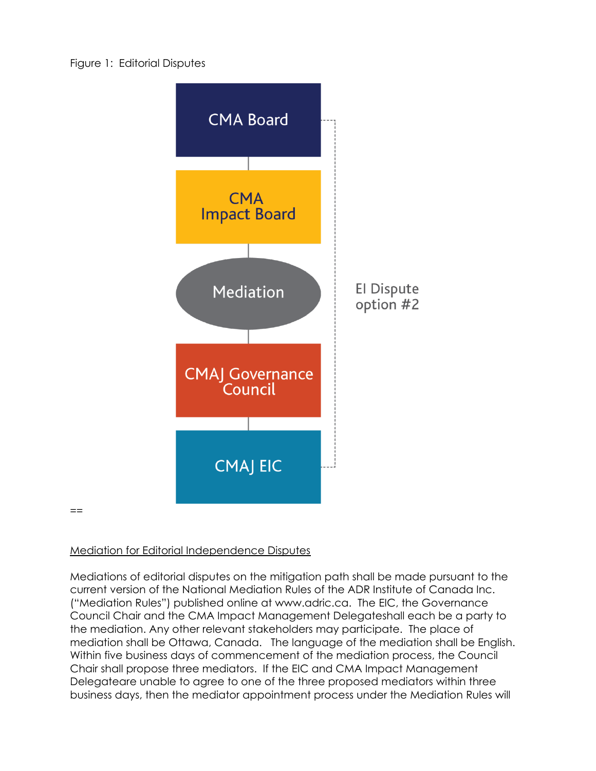

Mediation for Editorial Independence Disputes

==

Mediations of editorial disputes on the mitigation path shall be made pursuant to the current version of the National Mediation Rules of the ADR Institute of Canada Inc. ("Mediation Rules") published online at www.adric.ca. The EIC, the Governance Council Chair and the CMA Impact Management Delegateshall each be a party to the mediation. Any other relevant stakeholders may participate. The place of mediation shall be Ottawa, Canada. The language of the mediation shall be English. Within five business days of commencement of the mediation process, the Council Chair shall propose three mediators. If the EIC and CMA Impact Management Delegateare unable to agree to one of the three proposed mediators within three business days, then the mediator appointment process under the Mediation Rules will